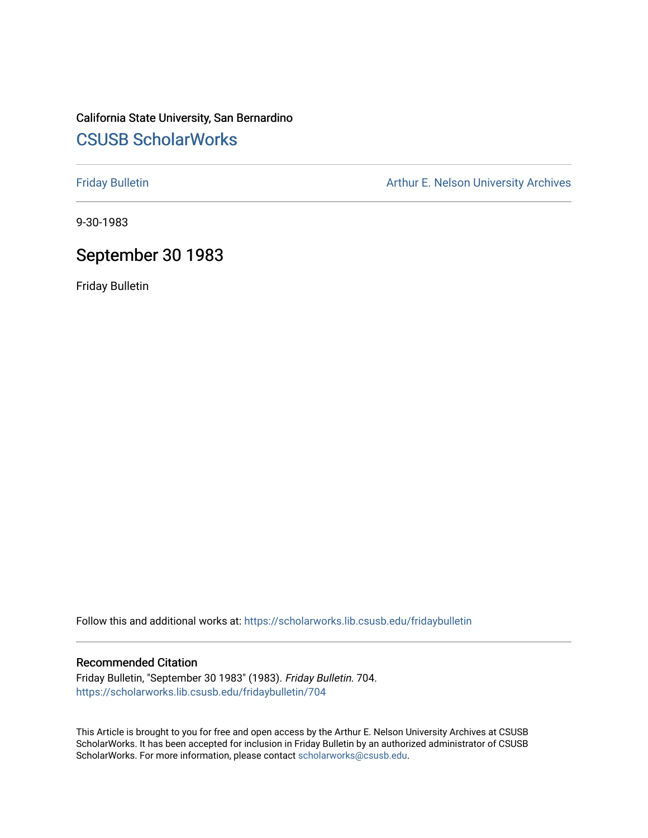# California State University, San Bernardino [CSUSB ScholarWorks](https://scholarworks.lib.csusb.edu/)

[Friday Bulletin](https://scholarworks.lib.csusb.edu/fridaybulletin) **Arthur E. Nelson University Archives** Arthur E. Nelson University Archives

9-30-1983

# September 30 1983

Friday Bulletin

Follow this and additional works at: [https://scholarworks.lib.csusb.edu/fridaybulletin](https://scholarworks.lib.csusb.edu/fridaybulletin?utm_source=scholarworks.lib.csusb.edu%2Ffridaybulletin%2F704&utm_medium=PDF&utm_campaign=PDFCoverPages)

## Recommended Citation

Friday Bulletin, "September 30 1983" (1983). Friday Bulletin. 704. [https://scholarworks.lib.csusb.edu/fridaybulletin/704](https://scholarworks.lib.csusb.edu/fridaybulletin/704?utm_source=scholarworks.lib.csusb.edu%2Ffridaybulletin%2F704&utm_medium=PDF&utm_campaign=PDFCoverPages)

This Article is brought to you for free and open access by the Arthur E. Nelson University Archives at CSUSB ScholarWorks. It has been accepted for inclusion in Friday Bulletin by an authorized administrator of CSUSB ScholarWorks. For more information, please contact [scholarworks@csusb.edu.](mailto:scholarworks@csusb.edu)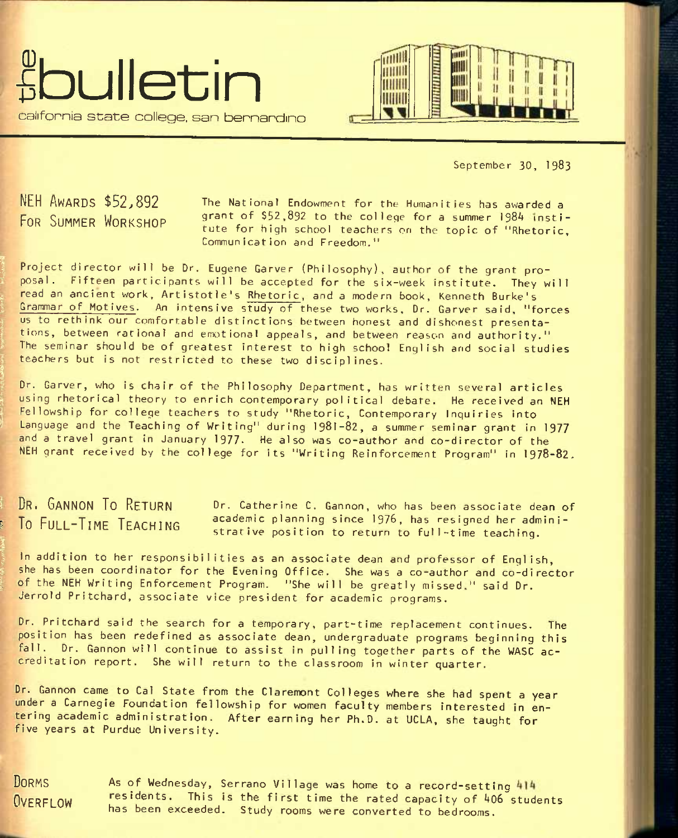



September 30, 1983

NEH AWARDS \$52,892 FOR SUMMER WORKSHOP

The National Endowment for the Humanities has awarded a grant of \$52,892 to the college for a summer 1984 institute for high school teachers on the topic of "Rhetoric, Communication and Freedom,"

Project director will be Dr. Eugene Garver (Philosophy), author of the grant proposal. Fifteen participants will be accepted for the six-week institute. They will read an ancient work, Artistotle's Rhetoric, and a modern book, Kenneth Burke's Grammar of Motives. An intensive study of these two works, Dr. Garver said, "forces us to rethink our comfortable distinctions between honest and dishonest presentations, between rational and emotional appeals, and between reason and authority." I The seminar should be of greatest interest to high school English and social studies The seminar should be of greatest interest to high school teachers but is not restricted to these two disciplines.

Dr. Garver, who is chair of the Philosophy Department, has written several articles using rhetorical theory to enrich contemporary political debate. He received an NEH Fellowship for college teachers to study "Rhetoric, Contemporary Inquiries into Language and the Teaching of Writing" during 1981-82, a summer seminar grant in 1977 and a travel grant in January 1977. He also was co-author and co-director of the NEH grant received by the college for its "Writing Reinforcement Program" in 1978-82.

DR. GANNON TO RETURN Dr. Catherine C. Gannon, who has been associate dean of To FULL-TIME TEACHING academic planning since 1976, has resigned her administrative position to return to full-time teaching.

In addition to her responsibilities as an associate dean and professor of English, she has been coordinator for the Evening Office. She was a co-author and co-director of the NEH Writing Enforcement Program. "She will be greatly missed." said Dr. Jerrold Pritchard, associate vice president for academic programs.

Dr. Pritchard said the search for a temporary, part-time replacement continues. The position has been redefined as associate dean, undergraduate programs beginning this fall. Dr. Gannon will continue to assist in pulling together parts of the WASC accreditation report. She will return to the classroom in winter quarter.

Dr. Gannon came to Cal State from the Claremont Colleges where she had spent a year under a Carnegie Foundation fellowship for women faculty members interested in entering academic administration. After earning her Ph.D. at UCLA, she taught for five years at Purdue University.

**DORMS** OVEREL OW

*I* 

*I* 

As of Wednesday, Serrano Village was home to a record-setting residents. This is the first time the rated capacity of 406 students has been exceeded. Study rooms were converted to bedrooms.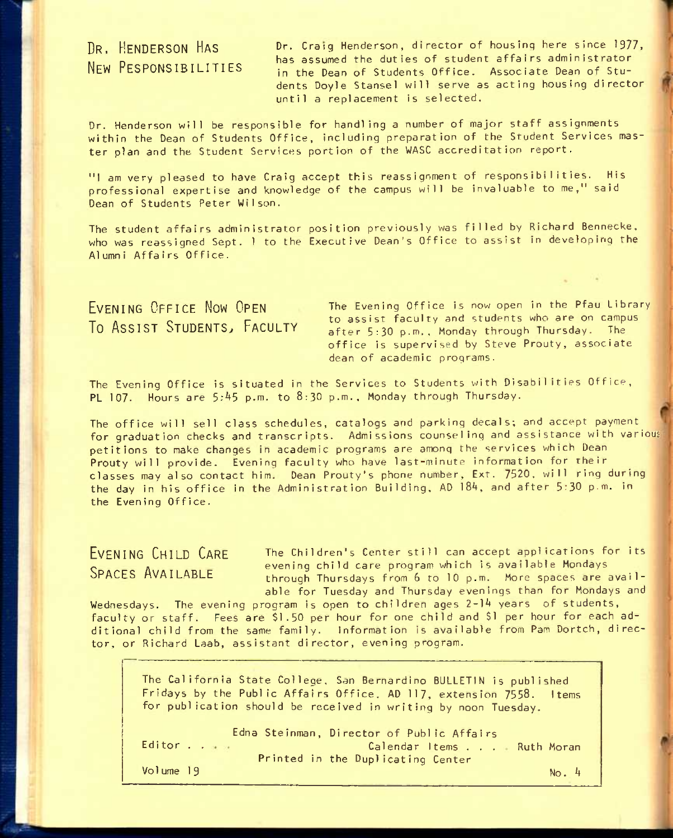DR. HENDERSON HAS NEW RESPONSIBILITIES Dr. Craig Henderson, director of housing here since 1977, has assumed the duties of student affairs administrator in the Dean of Students Office. Associate Dean of Students Doyie Stansel will serve as acting housing director until a replacement is selected.

Dr. Henderson will be responsible for handling a number of major staff assignments within the Dean of Students Office, including preparation of the Student Services master plan and the Student Services portion of the WASC accreditation report.

"1 am very pleased to have Craig accept this reassignment of responsibilities. His professional expertise and knowledge of the campus will be invaluable to me," said Dean of Students Peter Wilson.

The student affairs administrator position previously was filled by Richard Bennecke. who was reassigned Sept. 1 to the Executive Dean's Office to assist In developing the Alumni Affairs Office.

EVENING OFFICE NOW OPEN To ASSIST STUDENTS, FACULTY The Evening Office is now open in the Pfau Library to assist faculty and students who are on campus after 5:30 p.m., Monday through Thursday. The office is supervised by Steve Prouty, associate dean of academic programs.

The Evening Office is situated in the Services to Students with Disabilities Office, PL 107. Hours are  $5:45$  p.m. to  $8:30$  p.m., Monday through Thursday.

The office will sell class schedules, catalogs and parking decals; and accept payment for graduation checks and transcripts. Admissions counseling and assistance with various petitions to make changes in academic programs are among the services which Dean Prouty will provide. Evening faculty who have last-minute information for their classes may also contact him. Dean Prouty's phone number, Ext. 7520. will ring during the day in his office in the Administration Building, AD 184, and after 5:30 p.m. in the Evening Office.

# EVENING CHILD CARE SPACES AVAILABLE

The Children's Center still can accept applications for its evening child care program which Is available Mondays through Thursdays from 6 to 10 p.m. More spaces are available for Tuesday and Thursday evenings than for Mondays and

Wednesdays. The evening program is open to children ages 2-14 years of students, faculty or staff. Fees are \$1.50 per hour for one child and \$1 per hour for each additional child from the same family. Information is available from Pam Dortch, director, or Richard Laab, assistant director, evening program.

The California State College, San Bernardino BULLETIN is published Fridays by the Public Affairs Office. AD 117, extension 7558. Items for publication should be received in writing by noon Tuesday.

Editor . .  $\ldots$ Edna Stelnman, Director of Public Affairs Calendar Items . . . Ruth Moran Printed in the Duplicating Center

Volume 19

 $No. 4$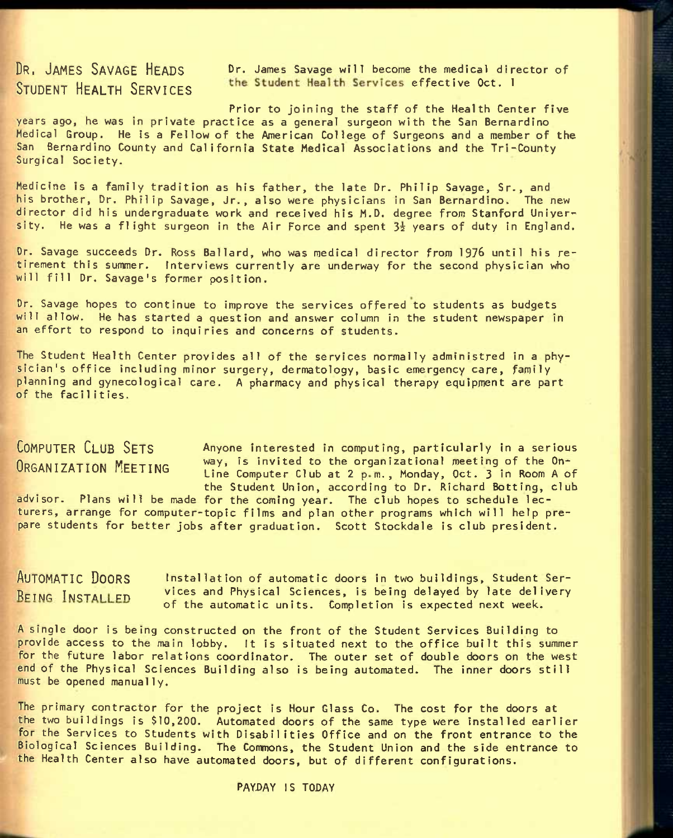DR. JAMES SAVAGE HEADS Dr. James Savage will become the medical director of STUDENT HEALTH SERVICES the Student Health Services effective Oct. I

Prior to joining the staff of the Health Center five years ago, he was in private practice as a general surgeon with the San Bernardino Medical Group. He is a Fellow of the American College of Surgeons and a member of the San Bernardino County and California State Medical Associations and the Tri-County Surgical Society.

Medicine is a family tradition as his father, the late Dr. Philip Savage, Sr., and his brother, Dr. Philip Savage, Jr., also were physicians in San Bernardino. The new director did his undergraduate work and received his M.D. degree from Stanford University. He was a flight surgeon in the Air Force and spent  $3\frac{1}{2}$  years of duty in England.

Dr. Savage succeeds Dr. Ross Ballard, who was medical director from 1976 until his retirement this summer. Interviews currently are underway for the second physician who will fill Dr. Savage's former position.

Dr. Savage hopes to continue to improve the services offered to students as budgets will allow. He has started a question and answer column in the student newspaper in an effort to respond to inquiries and concerns of students.

The Student Health Center provides all of the services normally administred in a physician's office including minor surgery, dermatology, basic emergency care, family planning and gynecological care. A pharmacy and physical therapy equipment are part of the facilities.

**COMPUTER CLUB SETS** Anyone interested in computing, particularly in a serious ORGANIZATION MEETING way, is invited to the organizational meeting of the On-<br>
Line Computer Club at 2 p m., Monday, Oct. 3 in Room A of the Student Union, according to Dr. Richard Botting, club

advisor. Plans will be made for the coming year. The club hopes to schedule lecturers, arrange for computer-topic films and plan other programs which will help prepare students for better jobs after graduation. Scott Stockdale is club president.

**A**UTOMATIC **D**OORS installation of automatic doors in two buildings. Student Ser-REING INSTALLED vices and Physical Sciences, is being delayed by late delivery of the automatic units. Completion is expected next week.

A single door is being constructed on the front of the Student Services Building to provide access to the main lobby. It Is situated next to the office built this summer for the future labor relations coordinator. The outer set of double doors on the west end of the Physical Sciences Building also is being automated. The inner doors still must be opened manually.

The primary contractor for the project is Hour Glass Co. The cost for the doors at the two buildings is \$10,200. Automated doors of the same type were installed earlier for the Services to Students with Disabilities Office and on the front entrance to the Biological Sciences Building. The Commons, the Student Union and the side entrance to the Health Center also have automated doors, but of different configurations.

PAYDAY IS TODAY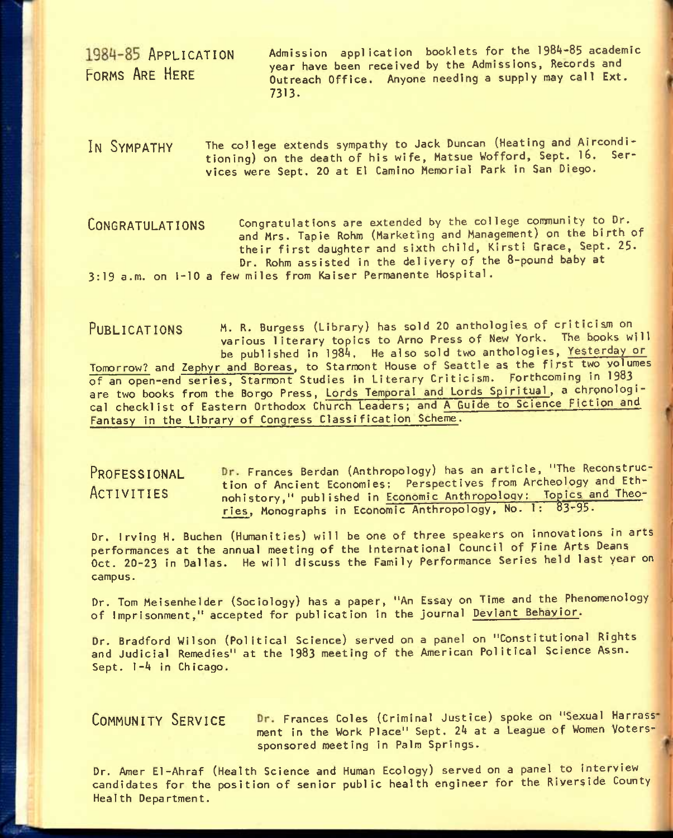1984-85 APPLICATION Admission application booklets for the 1984-85 academic year have been received by the Admissions, Records and<br>FORMS ARE HERE ... Outrooch Office ... Anyone needing a supply may call Ext. Outreach Office. Anyone needing a supply may call Ext. 7313.

IN SYMPATHY The college extends sympathy to Jack Duncan (Heating and Airconditioning) on the death of his wife, Matsue Wofford, Sept. 16. Services were Sept. 20 at El Camino Memorial Park in San Diego.

CONGRATULATIONS Congratulations are extended by the college community to Dr. and Mrs. Tapie Rohm (Marketing and Management) on the birth of their first daughter and sixth child, Kirsti Grace, Sept. 25. Dr. Rohm assisted in the delivery of the 8-pound baby at 3:19 a.m. on 1-10 a few miles from Kaiser Permanente Hospital.

PUBLICATIONS M. R. Burgess (Library) has sold 20 anthologies of criticism on various literary topics to Arno Press of New York, The books will be published in 1984. He also sold two anthologies, Yesterday or Tomorrow? and Zephyr and Boreas, to Starmont House of Seattle as the first two yolumes of an open-end series, Starmont Studies in Literary Criticism. Forthcoming in 1983 are two books from the Borgo Press, Lords Temporal and Lords Spiritual, a chronological checklist of Eastern Orthodox Church Leaders; and A Guide to Science Fiction and Fantasy in the Library of Congress Classification Scheme.

PROFESSIONAL Dr. Frances Berdan (Anthropology) has an article, "The Reconstruction of Ancient Economies: Perspectives from Archeology and Eth-<br>ACTIVITIES and interest in the Economic Anthropology: Topics and Theonohistory," published in Economic Anthropology: Topics and Theories, Monographs in Economic Anthropology, No. 1: 83-95.

Dr. Irving H. Buchen (Humanities) will be one of three speakers on innovations in arts performances at the annual meeting of the International Council of Fine Arts Deans Oct. 20-23 In Dallas. He will discuss the Family Performance Series held last year on campus.

Dr. Tom Meisenhelder (Sociology) has a paper, "An Essay on Time and the Phenomenology of Imprisonment," accepted for publication in the journal Deviant Behavior.

Dr. Bradford Wilson (Political Science) served on a panel on "Constitutional Rights and Judicial Remedies" at the 1983 meeting of the American Political Science Assn. Sept. 1-4 In Chicago.

COMMUNITY SERVICE Dr. Frances Coles (Criminal Justice) spoke on "Sexual Harrassment in the Work Place" Sept. 24 at a League of Women Voterssponsored meeting in Palm Springs.

Dr. Amer El-Ahraf (Health Science and Human Ecology) served on a panel to interview candidates for the position of senior public health engineer for the Riverside County Health Department.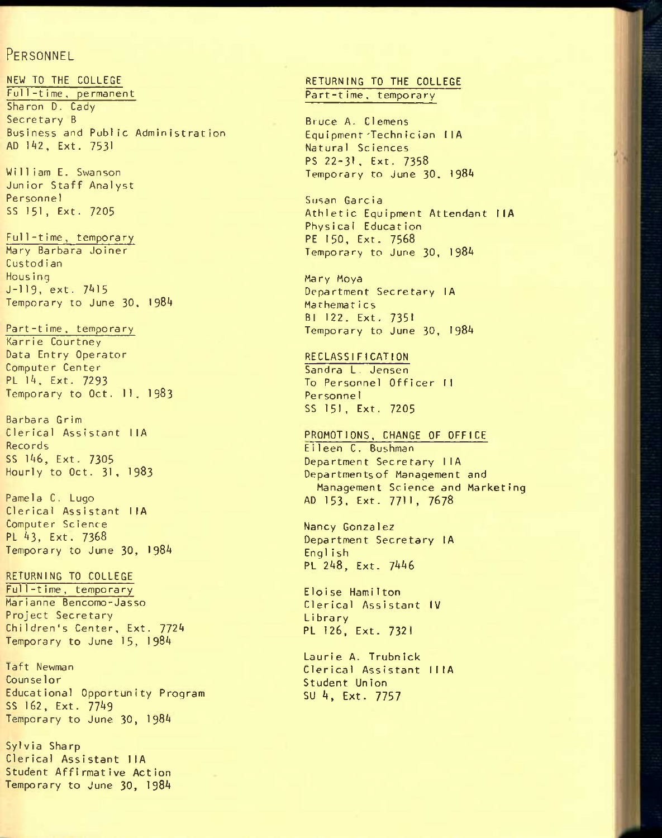## PERSONNEL

NEW TO THE COLLEGE FulI-t ime, permanent Sharon D. Cady Secretary B Business and Public Administration AD 142, Ext. 7531

Wi 11 iam E. Swanson Junior Staff Analyst Personnel SS 151, Ext. 7205

Ful1-t ime, temporary Mary Barbara Joiner Custodian **Hous ing** J-119, ext. 7^15 Temporary to June 30, 1984

Part-t ime. tempora ry Karrie Courtney Data Entry Operator Computer Center PL lA. Ext. 7293 Temporary to Oct. 11. 1983

Barbara Grim Clerical Assistant IIA Records SS 1A6, Ext. 7305 Hourly to Oct. 31, 1983

Pamela C, Lugo Clerical Assistant IIA Computer Science PL A3, Ext. 7368 Temporary to June 30, I98A

RETURNING TO COLLEGE Ful1-t ime, temporary Marianne Bencomo-Jasso Project Secretary Children's Center, Ext. 772A Temporary to June 15, 198A

Taft Newman Counselor Educational Opportunity Program SS 162, Ext. 77A9 Temporary to June 30, I98A

Sylvia Sharp Clerical Assistant IlA Student Affirmative Action Temporary to June 30, I98A

### RETURNING TO THE COLLEGE Part-time, temporary

Bruce A. Clemens Equipmenr'Technician IIA Natural Sciences PS 22-31, Ext. 7358 Temporary to June 30. I98A

Susan Garcia Athletic Equipment Attendant IIA Phys ica1 Educat ion PE 150, Ext. 7568 Temporary to June 30, 198A

Mary Moya Department Secretary lA Mathemat i cs Bl 122. Ext. 7351 Temporary to June 30, 198A

RECLASSIFICATION Sandra L. Jensen To Personnel Officer II Personne1 SS 151, Ext. 7205

PROMOTIONS, CHANGE OF OFFICE E11een C. Bushman Department Secretary IIA Departmentsof Management and Management Science and Marketing AD 153. Ext. 771 I, 7678

Nancy Gonzalez Department Secretary lA English PL 248, Ext. 7446

Eloise Hamilton Clerical Assistant IV Library PL 126, Ext. 7321

Laurie A. Trubnick Clerical Assistant IIIA Student Union SU 4. Ext. 7757